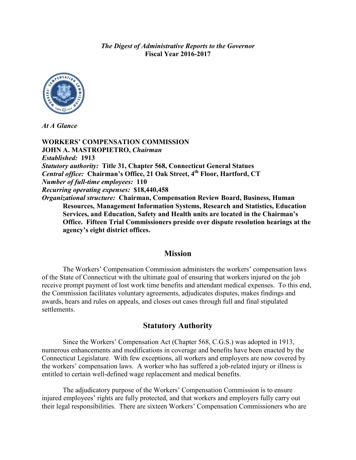*The Digest of Administrative Reports to the Governor* **Fiscal Year 2016-2017**



*At A Glance*

**WORKERS' COMPENSATION COMMISSION JOHN A. MASTROPIETRO,** *Chairman Established:* **1913** *Statutory authority:* **Title 31, Chapter 568, Connecticut General Statues** *Central office:* **Chairman's Office, 21 Oak Street, 4th Floor, Hartford, CT** *Number of full-time employees:* **110** *Recurring operating expenses:* **\$18,440,458** *Organizational structure:* **Chairman, Compensation Review Board, Business, Human Resources, Management Information Systems, Research and Statistics, Education Services, and Education, Safety and Health units are located in the Chairman's Office. Fifteen Trial Commissioners preside over dispute resolution hearings at the agency's eight district offices.**

#### **Mission**

The Workers' Compensation Commission administers the workers' compensation laws of the State of Connecticut with the ultimate goal of ensuring that workers injured on the job receive prompt payment of lost work time benefits and attendant medical expenses. To this end, the Commission facilitates voluntary agreements, adjudicates disputes, makes findings and awards, hears and rules on appeals, and closes out cases through full and final stipulated settlements.

### **Statutory Authority**

Since the Workers' Compensation Act (Chapter 568, C.G.S.) was adopted in 1913, numerous enhancements and modifications in coverage and benefits have been enacted by the Connecticut Legislature. With few exceptions, all workers and employers are now covered by the workers' compensation laws. A worker who has suffered a job-related injury or illness is entitled to certain well-defined wage replacement and medical benefits.

The adjudicatory purpose of the Workers' Compensation Commission is to ensure injured employees' rights are fully protected, and that workers and employers fully carry out their legal responsibilities. There are sixteen Workers' Compensation Commissioners who are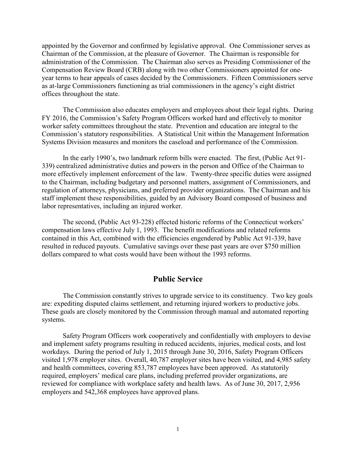appointed by the Governor and confirmed by legislative approval. One Commissioner serves as Chairman of the Commission, at the pleasure of Governor. The Chairman is responsible for administration of the Commission. The Chairman also serves as Presiding Commissioner of the Compensation Review Board (CRB) along with two other Commissioners appointed for oneyear terms to hear appeals of cases decided by the Commissioners. Fifteen Commissioners serve as at-large Commissioners functioning as trial commissioners in the agency's eight district offices throughout the state.

The Commission also educates employers and employees about their legal rights. During FY 2016, the Commission's Safety Program Officers worked hard and effectively to monitor worker safety committees throughout the state. Prevention and education are integral to the Commission's statutory responsibilities. A Statistical Unit within the Management Information Systems Division measures and monitors the caseload and performance of the Commission.

In the early 1990's, two landmark reform bills were enacted. The first, (Public Act 91- 339) centralized administrative duties and powers in the person and Office of the Chairman to more effectively implement enforcement of the law. Twenty-three specific duties were assigned to the Chairman, including budgetary and personnel matters, assignment of Commissioners, and regulation of attorneys, physicians, and preferred provider organizations. The Chairman and his staff implement these responsibilities, guided by an Advisory Board composed of business and labor representatives, including an injured worker.

The second, (Public Act 93-228) effected historic reforms of the Connecticut workers' compensation laws effective July 1, 1993. The benefit modifications and related reforms contained in this Act, combined with the efficiencies engendered by Public Act 91-339, have resulted in reduced payouts. Cumulative savings over these past years are over \$750 million dollars compared to what costs would have been without the 1993 reforms.

### **Public Service**

The Commission constantly strives to upgrade service to its constituency. Two key goals are: expediting disputed claims settlement, and returning injured workers to productive jobs. These goals are closely monitored by the Commission through manual and automated reporting systems.

Safety Program Officers work cooperatively and confidentially with employers to devise and implement safety programs resulting in reduced accidents, injuries, medical costs, and lost workdays. During the period of July 1, 2015 through June 30, 2016, Safety Program Officers visited 1,978 employer sites. Overall, 40,787 employer sites have been visited, and 4,985 safety and health committees, covering 853,787 employees have been approved. As statutorily required, employers' medical care plans, including preferred provider organizations, are reviewed for compliance with workplace safety and health laws. As of June 30, 2017, 2,956 employers and 542,368 employees have approved plans.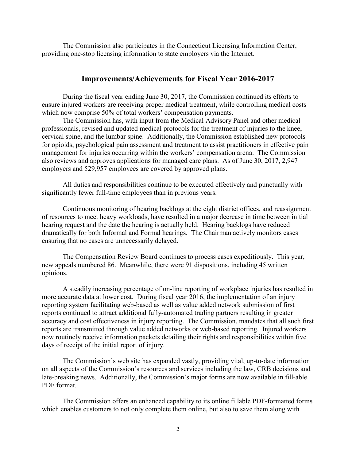The Commission also participates in the Connecticut Licensing Information Center, providing one-stop licensing information to state employers via the Internet.

### **Improvements/Achievements for Fiscal Year 2016-2017**

During the fiscal year ending June 30, 2017, the Commission continued its efforts to ensure injured workers are receiving proper medical treatment, while controlling medical costs which now comprise 50% of total workers' compensation payments.

The Commission has, with input from the Medical Advisory Panel and other medical professionals, revised and updated medical protocols for the treatment of injuries to the knee, cervical spine, and the lumbar spine. Additionally, the Commission established new protocols for opioids, psychological pain assessment and treatment to assist practitioners in effective pain management for injuries occurring within the workers' compensation arena. The Commission also reviews and approves applications for managed care plans. As of June 30, 2017, 2,947 employers and 529,957 employees are covered by approved plans.

All duties and responsibilities continue to be executed effectively and punctually with significantly fewer full-time employees than in previous years.

Continuous monitoring of hearing backlogs at the eight district offices, and reassignment of resources to meet heavy workloads, have resulted in a major decrease in time between initial hearing request and the date the hearing is actually held. Hearing backlogs have reduced dramatically for both Informal and Formal hearings. The Chairman actively monitors cases ensuring that no cases are unnecessarily delayed.

The Compensation Review Board continues to process cases expeditiously. This year, new appeals numbered 86. Meanwhile, there were 91 dispositions, including 45 written opinions.

A steadily increasing percentage of on-line reporting of workplace injuries has resulted in more accurate data at lower cost. During fiscal year 2016, the implementation of an injury reporting system facilitating web-based as well as value added network submission of first reports continued to attract additional fully-automated trading partners resulting in greater accuracy and cost effectiveness in injury reporting. The Commission, mandates that all such first reports are transmitted through value added networks or web-based reporting. Injured workers now routinely receive information packets detailing their rights and responsibilities within five days of receipt of the initial report of injury.

The Commission's web site has expanded vastly, providing vital, up-to-date information on all aspects of the Commission's resources and services including the law, CRB decisions and late-breaking news. Additionally, the Commission's major forms are now available in fill-able PDF format.

The Commission offers an enhanced capability to its online fillable PDF-formatted forms which enables customers to not only complete them online, but also to save them along with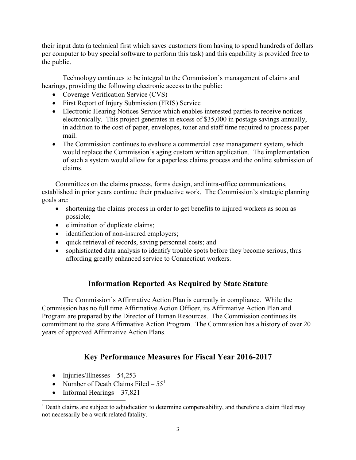their input data (a technical first which saves customers from having to spend hundreds of dollars per computer to buy special software to perform this task) and this capability is provided free to the public.

Technology continues to be integral to the Commission's management of claims and hearings, providing the following electronic access to the public:

- Coverage Verification Service (CVS)
- First Report of Injury Submission (FRIS) Service
- Electronic Hearing Notices Service which enables interested parties to receive notices electronically. This project generates in excess of \$35,000 in postage savings annually, in addition to the cost of paper, envelopes, toner and staff time required to process paper mail.
- The Commission continues to evaluate a commercial case management system, which would replace the Commission's aging custom written application. The implementation of such a system would allow for a paperless claims process and the online submission of claims.

Committees on the claims process, forms design, and intra-office communications, established in prior years continue their productive work. The Commission's strategic planning goals are:

- shortening the claims process in order to get benefits to injured workers as soon as possible;
- elimination of duplicate claims;
- identification of non-insured employers;
- quick retrieval of records, saving personnel costs; and
- sophisticated data analysis to identify trouble spots before they become serious, thus affording greatly enhanced service to Connecticut workers.

# **Information Reported As Required by State Statute**

The Commission's Affirmative Action Plan is currently in compliance. While the Commission has no full time Affirmative Action Officer, its Affirmative Action Plan and Program are prepared by the Director of Human Resources. The Commission continues its commitment to the state Affirmative Action Program. The Commission has a history of over 20 years of approved Affirmative Action Plans.

# **Key Performance Measures for Fiscal Year 2016-2017**

- Injuries/Illnesses  $54,253$
- Number of Death Claims Filed  $55<sup>1</sup>$
- Informal Hearings  $-37,821$

<sup>&</sup>lt;sup>1</sup> Death claims are subject to adjudication to determine compensability, and therefore a claim filed may not necessarily be a work related fatality.